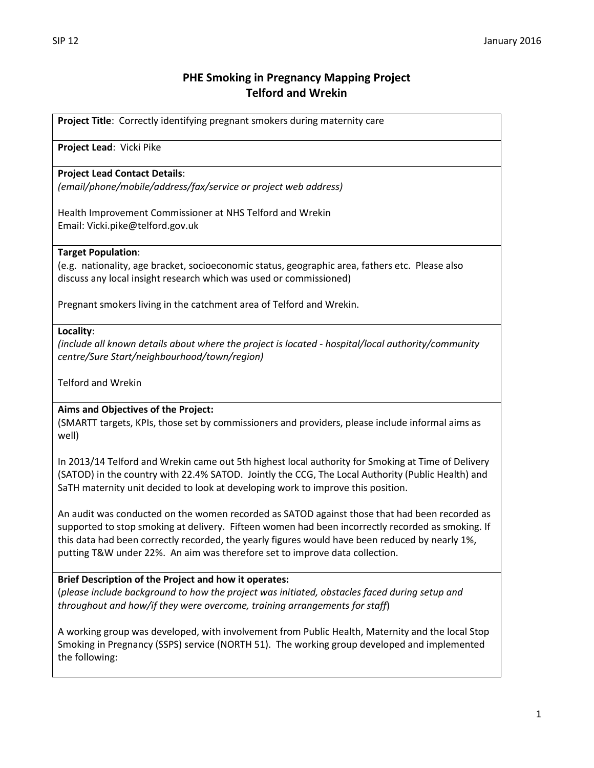# **PHE Smoking in Pregnancy Mapping Project Telford and Wrekin**

**Project Title**: Correctly identifying pregnant smokers during maternity care

**Project Lead**: Vicki Pike

## **Project Lead Contact Details**:

*(email/phone/mobile/address/fax/service or project web address)*

Health Improvement Commissioner at NHS Telford and Wrekin Email: Vicki.pike@telford.gov.uk

#### **Target Population**:

(e.g. nationality, age bracket, socioeconomic status, geographic area, fathers etc. Please also discuss any local insight research which was used or commissioned)

Pregnant smokers living in the catchment area of Telford and Wrekin.

#### **Locality**:

*(include all known details about where the project is located - hospital/local authority/community centre/Sure Start/neighbourhood/town/region)*

Telford and Wrekin

# **Aims and Objectives of the Project:**

(SMARTT targets, KPIs, those set by commissioners and providers, please include informal aims as well)

In 2013/14 Telford and Wrekin came out 5th highest local authority for Smoking at Time of Delivery (SATOD) in the country with 22.4% SATOD. Jointly the CCG, The Local Authority (Public Health) and SaTH maternity unit decided to look at developing work to improve this position.

An audit was conducted on the women recorded as SATOD against those that had been recorded as supported to stop smoking at delivery. Fifteen women had been incorrectly recorded as smoking. If this data had been correctly recorded, the yearly figures would have been reduced by nearly 1%, putting T&W under 22%. An aim was therefore set to improve data collection.

# **Brief Description of the Project and how it operates:**

(*please include background to how the project was initiated, obstacles faced during setup and throughout and how/if they were overcome, training arrangements for staff*)

A working group was developed, with involvement from Public Health, Maternity and the local Stop Smoking in Pregnancy (SSPS) service (NORTH 51). The working group developed and implemented the following: